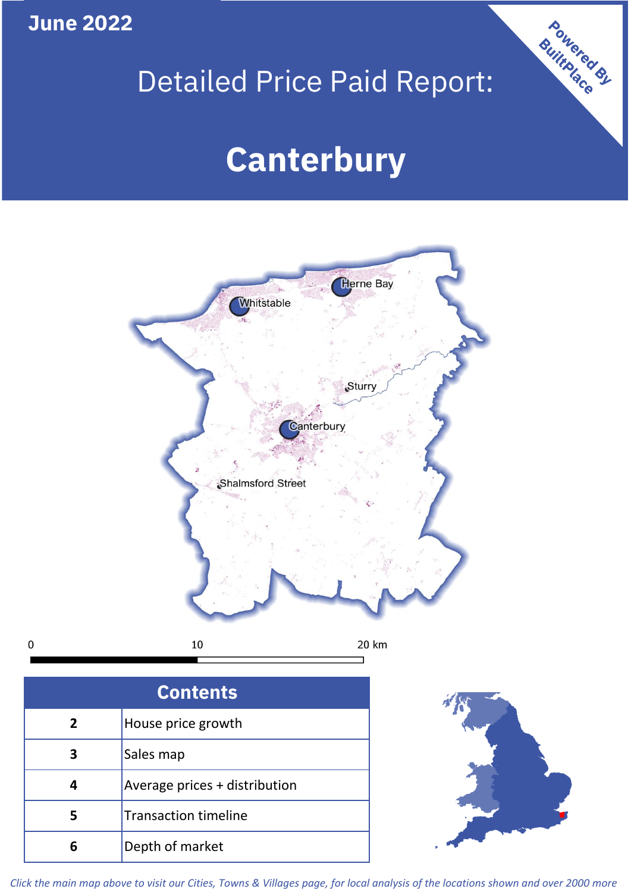**June 2022**

 $\mathbf 0$ 

# Detailed Price Paid Report:

# **Canterbury**



| <b>Contents</b> |                               |  |  |
|-----------------|-------------------------------|--|--|
| 2               | House price growth            |  |  |
|                 | Sales map                     |  |  |
|                 | Average prices + distribution |  |  |
|                 | <b>Transaction timeline</b>   |  |  |
|                 | Depth of market               |  |  |



Powered By

*Click the main map above to visit our Cities, Towns & Villages page, for local analysis of the locations shown and over 2000 more*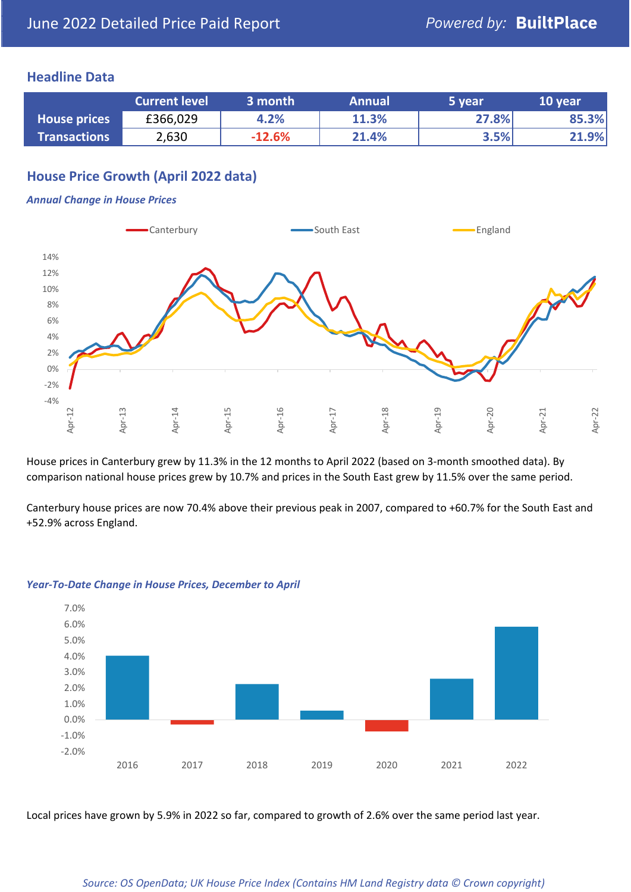### **Headline Data**

|                     | <b>Current level</b> | 3 month  | <b>Annual</b> | 5 year | 10 year |
|---------------------|----------------------|----------|---------------|--------|---------|
| <b>House prices</b> | £366,029             | 4.2%     | 11.3%         | 27.8%  | 85.3%   |
| <b>Transactions</b> | 2,630                | $-12.6%$ | 21.4%         | 3.5%   | 21.9%   |

# **House Price Growth (April 2022 data)**

#### *Annual Change in House Prices*



House prices in Canterbury grew by 11.3% in the 12 months to April 2022 (based on 3-month smoothed data). By comparison national house prices grew by 10.7% and prices in the South East grew by 11.5% over the same period.

Canterbury house prices are now 70.4% above their previous peak in 2007, compared to +60.7% for the South East and +52.9% across England.



#### *Year-To-Date Change in House Prices, December to April*

Local prices have grown by 5.9% in 2022 so far, compared to growth of 2.6% over the same period last year.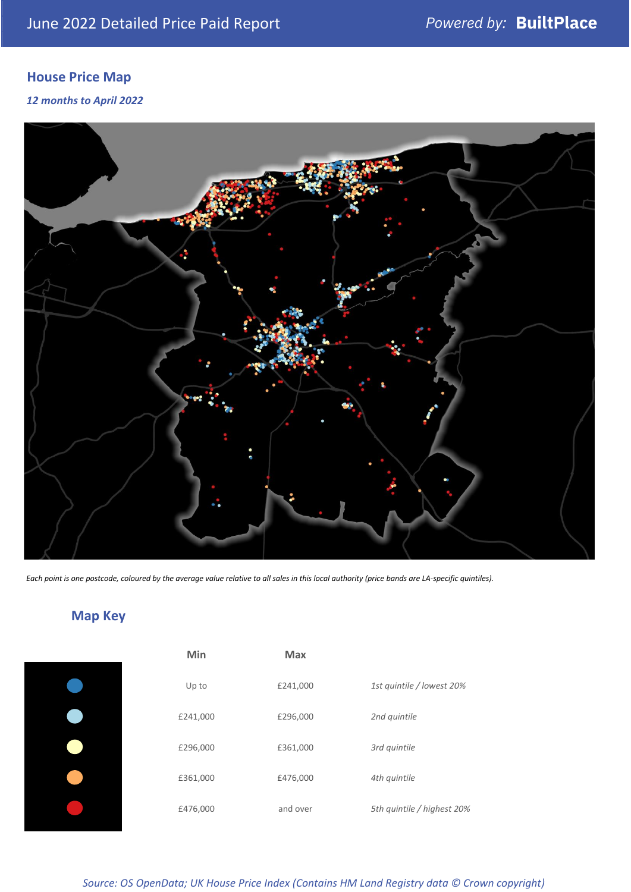# **House Price Map**

*12 months to April 2022*



*Each point is one postcode, coloured by the average value relative to all sales in this local authority (price bands are LA-specific quintiles).*

# **Map Key**

| Min      | <b>Max</b> |                            |
|----------|------------|----------------------------|
| Up to    | £241,000   | 1st quintile / lowest 20%  |
| £241,000 | £296,000   | 2nd quintile               |
| £296,000 | £361,000   | 3rd quintile               |
| £361,000 | £476,000   | 4th quintile               |
| £476,000 | and over   | 5th quintile / highest 20% |

*Source: OS OpenData; UK House Price Index (Contains HM Land Registry data © Crown copyright)*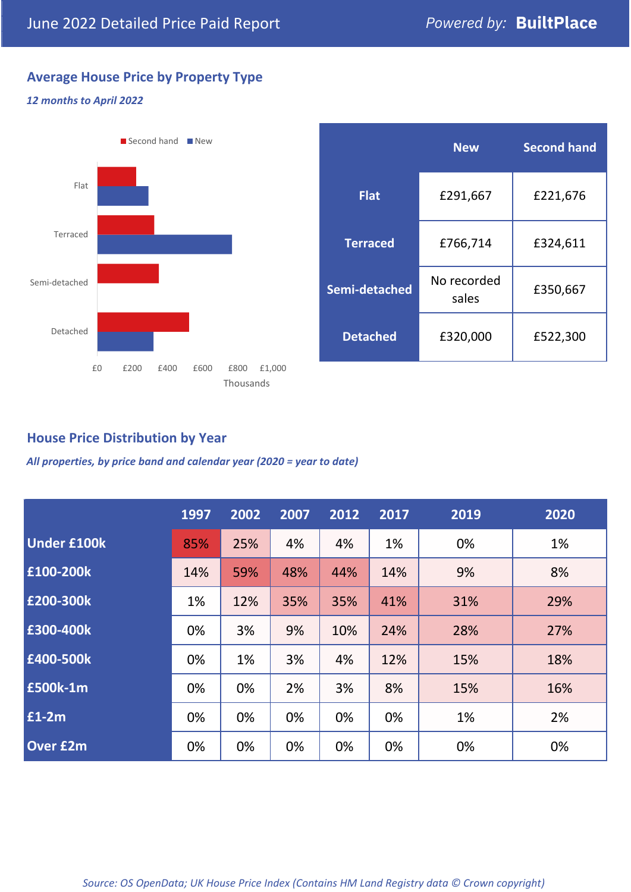# **Average House Price by Property Type**

#### *12 months to April 2022*



|                 | <b>New</b>           | <b>Second hand</b> |  |  |
|-----------------|----------------------|--------------------|--|--|
| <b>Flat</b>     | £291,667             | £221,676           |  |  |
| <b>Terraced</b> | £766,714             | £324,611           |  |  |
| Semi-detached   | No recorded<br>sales | £350,667           |  |  |
| <b>Detached</b> | £320,000             | £522,300           |  |  |

### **House Price Distribution by Year**

*All properties, by price band and calendar year (2020 = year to date)*

|                    | 1997 | 2002 | 2007 | 2012 | 2017 | 2019 | 2020 |
|--------------------|------|------|------|------|------|------|------|
| <b>Under £100k</b> | 85%  | 25%  | 4%   | 4%   | 1%   | 0%   | 1%   |
| £100-200k          | 14%  | 59%  | 48%  | 44%  | 14%  | 9%   | 8%   |
| E200-300k          | 1%   | 12%  | 35%  | 35%  | 41%  | 31%  | 29%  |
| £300-400k          | 0%   | 3%   | 9%   | 10%  | 24%  | 28%  | 27%  |
| £400-500k          | 0%   | 1%   | 3%   | 4%   | 12%  | 15%  | 18%  |
| <b>£500k-1m</b>    | 0%   | 0%   | 2%   | 3%   | 8%   | 15%  | 16%  |
| £1-2m              | 0%   | 0%   | 0%   | 0%   | 0%   | 1%   | 2%   |
| <b>Over £2m</b>    | 0%   | 0%   | 0%   | 0%   | 0%   | 0%   | 0%   |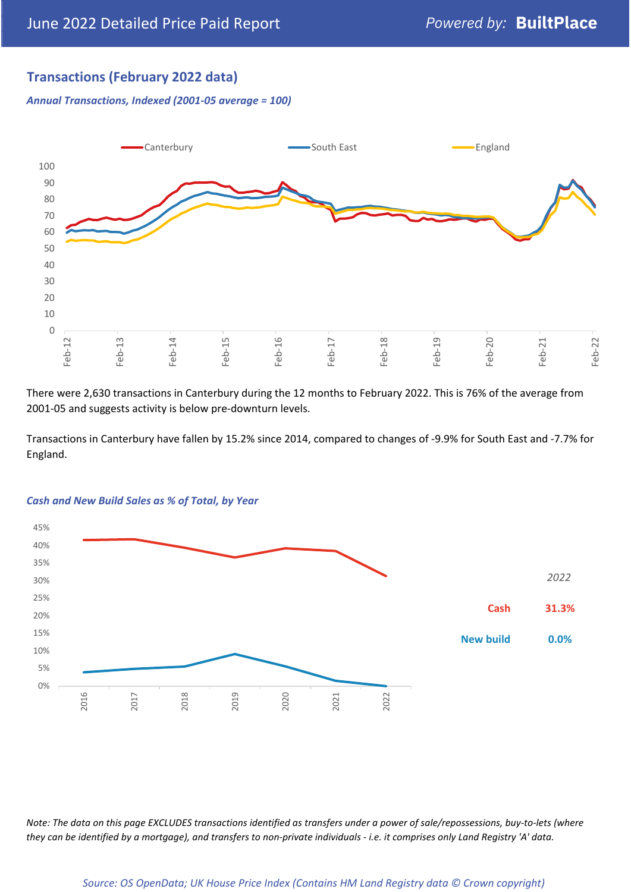# **Transactions (February 2022 data)**

*Annual Transactions, Indexed (2001-05 average = 100)*



There were 2,630 transactions in Canterbury during the 12 months to February 2022. This is 76% of the average from 2001-05 and suggests activity is below pre-downturn levels.

Transactions in Canterbury have fallen by 15.2% since 2014, compared to changes of -9.9% for South East and -7.7% for England.



#### *Cash and New Build Sales as % of Total, by Year*

*Note: The data on this page EXCLUDES transactions identified as transfers under a power of sale/repossessions, buy-to-lets (where they can be identified by a mortgage), and transfers to non-private individuals - i.e. it comprises only Land Registry 'A' data.*